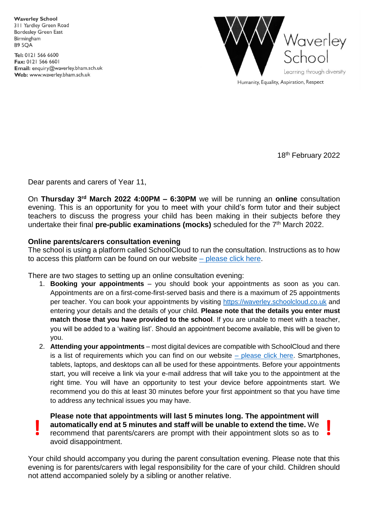**Waverley School** 311 Yardley Green Road **Bordesley Green East** Birmingham **B9 5OA** 

Tel: 0121 566 6600 Fax: 0121 566 6601 Email: enquiry@waverley.bham.sch.uk Web: www.waverley.bham.sch.uk



Humanity, Equality, Aspiration, Respect

18<sup>th</sup> February 2022

Dear parents and carers of Year 11,

On **Thursday 3 rd March 2022 4:00PM – 6:30PM** we will be running an **online** consultation evening. This is an opportunity for you to meet with your child's form tutor and their subject teachers to discuss the progress your child has been making in their subjects before they undertake their final **pre-public examinations (mocks)** scheduled for the 7<sup>th</sup> March 2022.

## **Online parents/carers consultation evening**

The school is using a platform called SchoolCloud to run the consultation. Instructions as to how to access this platform can be found on our website  $-$  [please click here.](https://www.waverley.bham.sch.uk/page/?title=Virtual+Parents+%26amp%3B+Carers+Evenings&pid=196)

There are two stages to setting up an online consultation evening:

- 1. **Booking your appointments** you should book your appointments as soon as you can. Appointments are on a first-come-first-served basis and there is a maximum of 25 appointments per teacher. You can book your appointments by visiting [https://waverley.schoolcloud.co.uk](https://waverley.schoolcloud.co.uk/) and entering your details and the details of your child. **Please note that the details you enter must match those that you have provided to the school**. If you are unable to meet with a teacher, you will be added to a 'waiting list'. Should an appointment become available, this will be given to you.
- 2. **Attending your appointments** most digital devices are compatible with SchoolCloud and there is a list of requirements which you can find on our website  $-$  [please click here.](https://www.waverley.bham.sch.uk/page/?title=Virtual+Parents+%26amp%3B+Carers+Evenings&pid=196) Smartphones, tablets, laptops, and desktops can all be used for these appointments. Before your appointments start, you will receive a link via your e-mail address that will take you to the appointment at the right time. You will have an opportunity to test your device before appointments start. We recommend you do this at least 30 minutes before your first appointment so that you have time to address any technical issues you may have.

**Please note that appointments will last 5 minutes long. The appointment will automatically end at 5 minutes and staff will be unable to extend the time.** We **example 18 automatically end at 5 minutes and staff will be unable to extend the time. We recommend that parents/carers are prompt with their appointment slots so as to** avoid disappointment.

Your child should accompany you during the parent consultation evening. Please note that this evening is for parents/carers with legal responsibility for the care of your child. Children should not attend accompanied solely by a sibling or another relative.